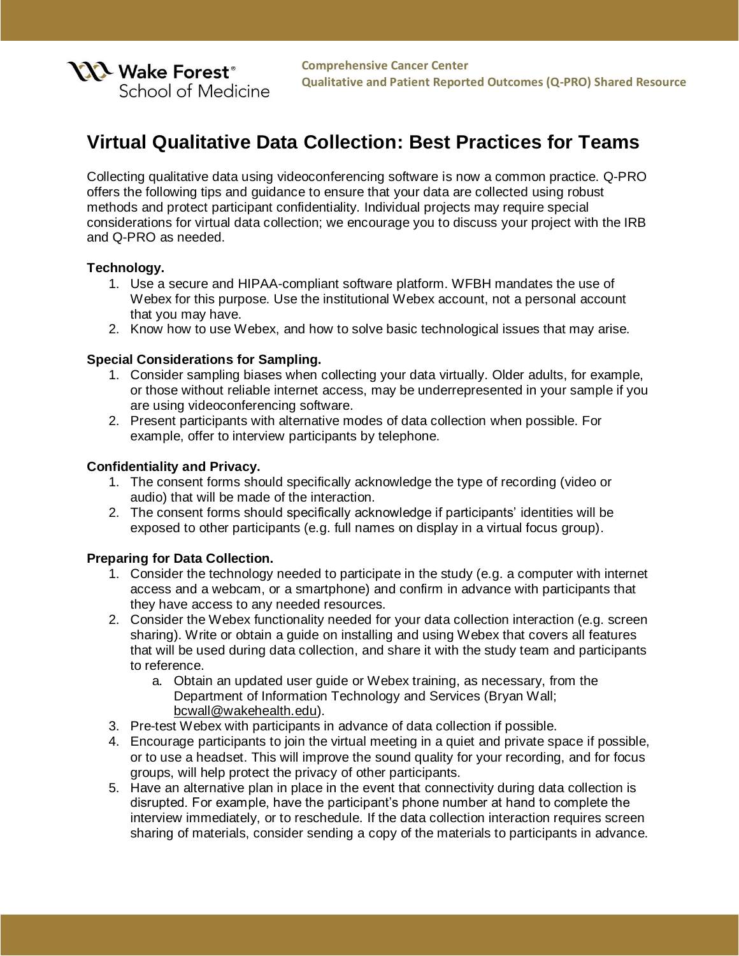

# **Virtual Qualitative Data Collection: Best Practices for Teams**

Collecting qualitative data using videoconferencing software is now a common practice. Q-PRO offers the following tips and guidance to ensure that your data are collected using robust methods and protect participant confidentiality. Individual projects may require special considerations for virtual data collection; we encourage you to discuss your project with the IRB and Q-PRO as needed.

## **Technology.**

- 1. Use a secure and HIPAA-compliant software platform. WFBH mandates the use of Webex for this purpose. Use the institutional Webex account, not a personal account that you may have.
- 2. Know how to use Webex, and how to solve basic technological issues that may arise.

## **Special Considerations for Sampling.**

- 1. Consider sampling biases when collecting your data virtually. Older adults, for example, or those without reliable internet access, may be underrepresented in your sample if you are using videoconferencing software.
- 2. Present participants with alternative modes of data collection when possible. For example, offer to interview participants by telephone.

## **Confidentiality and Privacy.**

- 1. The consent forms should specifically acknowledge the type of recording (video or audio) that will be made of the interaction.
- 2. The consent forms should specifically acknowledge if participants' identities will be exposed to other participants (e.g. full names on display in a virtual focus group).

## **Preparing for Data Collection.**

- 1. Consider the technology needed to participate in the study (e.g. a computer with internet access and a webcam, or a smartphone) and confirm in advance with participants that they have access to any needed resources.
- 2. Consider the Webex functionality needed for your data collection interaction (e.g. screen sharing). Write or obtain a guide on installing and using Webex that covers all features that will be used during data collection, and share it with the study team and participants to reference.
	- a. Obtain an updated user guide or Webex training, as necessary, from the Department of Information Technology and Services (Bryan Wall; [bcwall@wakehealth.edu\)](mailto:bcwall@wakehealth.edu).
- 3. Pre-test Webex with participants in advance of data collection if possible.
- 4. Encourage participants to join the virtual meeting in a quiet and private space if possible, or to use a headset. This will improve the sound quality for your recording, and for focus groups, will help protect the privacy of other participants.
- 5. Have an alternative plan in place in the event that connectivity during data collection is disrupted. For example, have the participant's phone number at hand to complete the interview immediately, or to reschedule. If the data collection interaction requires screen sharing of materials, consider sending a copy of the materials to participants in advance.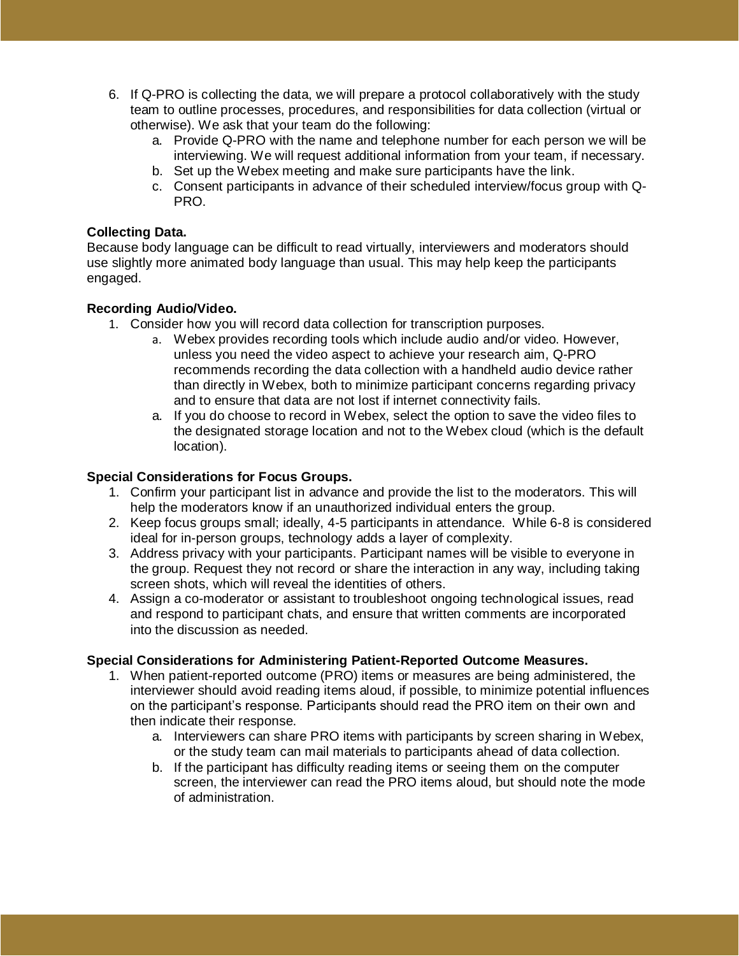- 6. If Q-PRO is collecting the data, we will prepare a protocol collaboratively with the study team to outline processes, procedures, and responsibilities for data collection (virtual or otherwise). We ask that your team do the following:
	- a. Provide Q-PRO with the name and telephone number for each person we will be interviewing. We will request additional information from your team, if necessary.
	- b. Set up the Webex meeting and make sure participants have the link.
	- c. Consent participants in advance of their scheduled interview/focus group with Q-PRO.

# **Collecting Data.**

Because body language can be difficult to read virtually, interviewers and moderators should use slightly more animated body language than usual. This may help keep the participants engaged.

# **Recording Audio/Video.**

- 1. Consider how you will record data collection for transcription purposes.
	- a. Webex provides recording tools which include audio and/or video. However, unless you need the video aspect to achieve your research aim, Q-PRO recommends recording the data collection with a handheld audio device rather than directly in Webex, both to minimize participant concerns regarding privacy and to ensure that data are not lost if internet connectivity fails.
	- a. If you do choose to record in Webex, select the option to save the video files to the designated storage location and not to the Webex cloud (which is the default location).

# **Special Considerations for Focus Groups.**

- 1. Confirm your participant list in advance and provide the list to the moderators. This will help the moderators know if an unauthorized individual enters the group.
- 2. Keep focus groups small; ideally, 4-5 participants in attendance. While 6-8 is considered ideal for in-person groups, technology adds a layer of complexity.
- 3. Address privacy with your participants. Participant names will be visible to everyone in the group. Request they not record or share the interaction in any way, including taking screen shots, which will reveal the identities of others.
- 4. Assign a co-moderator or assistant to troubleshoot ongoing technological issues, read and respond to participant chats, and ensure that written comments are incorporated into the discussion as needed.

# **Special Considerations for Administering Patient-Reported Outcome Measures.**

- 1. When patient-reported outcome (PRO) items or measures are being administered, the interviewer should avoid reading items aloud, if possible, to minimize potential influences on the participant's response. Participants should read the PRO item on their own and then indicate their response.
	- a. Interviewers can share PRO items with participants by screen sharing in Webex, or the study team can mail materials to participants ahead of data collection.
	- b. If the participant has difficulty reading items or seeing them on the computer screen, the interviewer can read the PRO items aloud, but should note the mode of administration.